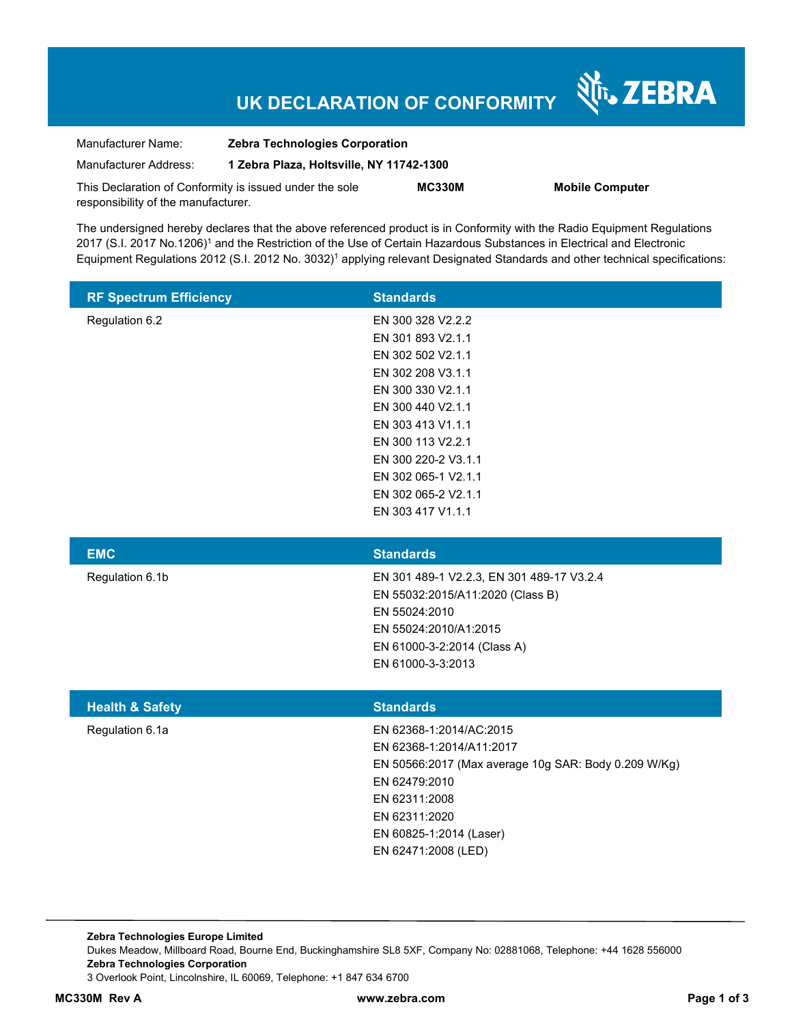# **UK DECLARATION OF CONFORMITY**

| Manufacturer Name:                  | <b>Zebra Technologies Corporation</b>                   |               |          |
|-------------------------------------|---------------------------------------------------------|---------------|----------|
| Manufacturer Address:               | 1 Zebra Plaza, Holtsville, NY 11742-1300                |               |          |
|                                     | This Declaration of Conformity is issued under the sole | <b>MC330M</b> | Mobile C |
| responsibility of the manufacturer. |                                                         |               |          |

 $\lambda$  omputer

Nr. ZEBRA

The undersigned hereby declares that the above referenced product is in Conformity with the Radio Equipment Regulations 2017 (S.I. 2017 No.1206)<sup>1</sup> and the Restriction of the Use of Certain Hazardous Substances in Electrical and Electronic Equipment Regulations 2012 (S.I. 2012 No. 3032)<sup>1</sup> applying relevant Designated Standards and other technical specifications:

| <b>RF Spectrum Efficiency</b> | <b>Standards</b>    |
|-------------------------------|---------------------|
| Regulation 6.2                | EN 300 328 V2.2.2   |
|                               | EN 301 893 V2.1.1   |
|                               | EN 302 502 V2.1.1   |
|                               | EN 302 208 V3.1.1   |
|                               | EN 300 330 V2.1.1   |
|                               | EN 300 440 V2.1.1   |
|                               | EN 303 413 V1.1.1   |
|                               | EN 300 113 V2.2.1   |
|                               | EN 300 220-2 V3.1.1 |
|                               | EN 302 065-1 V2.1.1 |
|                               | EN 302 065-2 V2.1.1 |
|                               | EN 303 417 V1.1.1   |

| <b>EMC</b>      | <b>Standards</b>                          |
|-----------------|-------------------------------------------|
| Regulation 6.1b | EN 301 489-1 V2.2.3, EN 301 489-17 V3.2.4 |
|                 | EN 55032:2015/A11:2020 (Class B)          |
|                 | EN 55024:2010                             |
|                 | EN 55024:2010/A1:2015                     |
|                 | EN 61000-3-2:2014 (Class A)               |
|                 | EN 61000-3-3:2013                         |
|                 |                                           |

| <b>Health &amp; Safety</b> | <b>Standards</b>                                     |
|----------------------------|------------------------------------------------------|
| Regulation 6.1a            | EN 62368-1:2014/AC:2015                              |
|                            | EN 62368-1:2014/A11:2017                             |
|                            | EN 50566:2017 (Max average 10g SAR: Body 0.209 W/Kg) |
|                            | EN 62479:2010                                        |
|                            | EN 62311:2008                                        |
|                            | EN 62311:2020                                        |
|                            | EN 60825-1:2014 (Laser)                              |
|                            | EN 62471:2008 (LED)                                  |

**Zebra Technologies Europe Limited**  Dukes Meadow, Millboard Road, Bourne End, Buckinghamshire SL8 5XF, Company No: 02881068, Telephone: +44 1628 556000 **Zebra Technologies Corporation**  3 Overlook Point, Lincolnshire, IL 60069, Telephone: +1 847 634 6700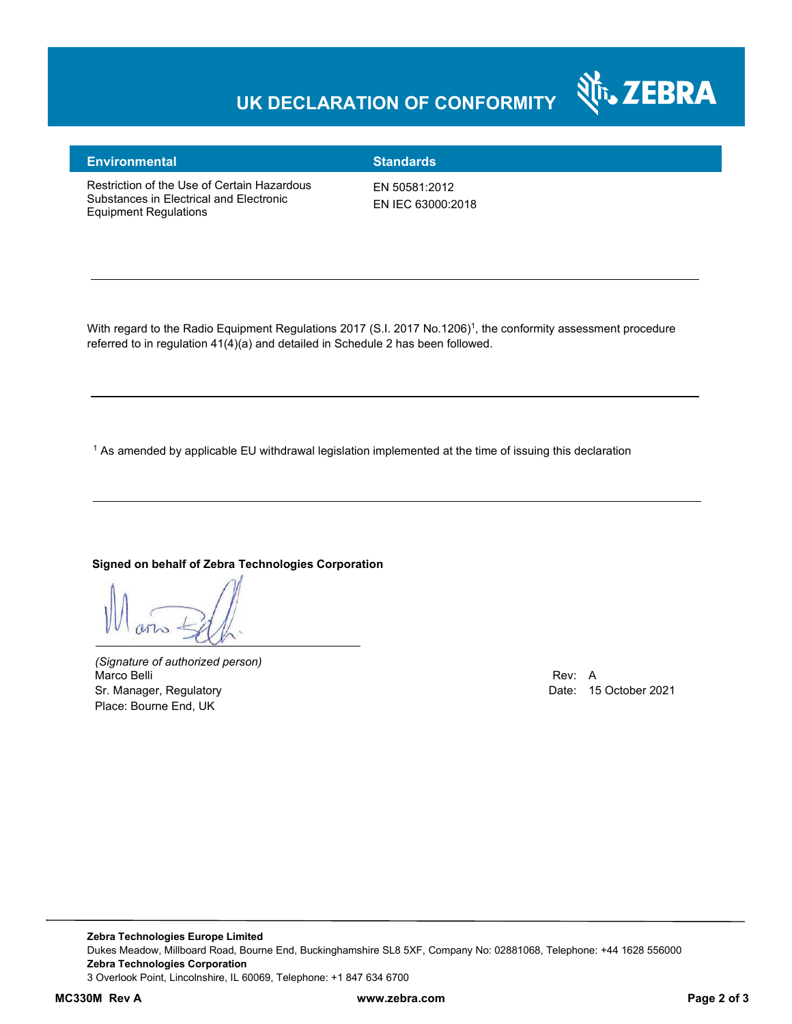# **UK DECLARATION OF CONFORMITY**



#### **Environmental Standards**

Restriction of the Use of Certain Hazardous Substances in Electrical and Electronic Equipment Regulations

EN 50581:2012 EN IEC 63000:2018

With regard to the Radio Equipment Regulations 2017 (S.I. 2017 No.1206)<sup>1</sup>, the conformity assessment procedure referred to in regulation 41(4)(a) and detailed in Schedule 2 has been followed.

 $^{\rm 1}$  As amended by applicable EU withdrawal legislation implemented at the time of issuing this declaration

## **Signed on behalf of Zebra Technologies Corporation**

*(Signature of authorized person)* Marco Belli Rev: A Sr. Manager, Regulatory Date: 15 October 2021 Place: Bourne End, UK